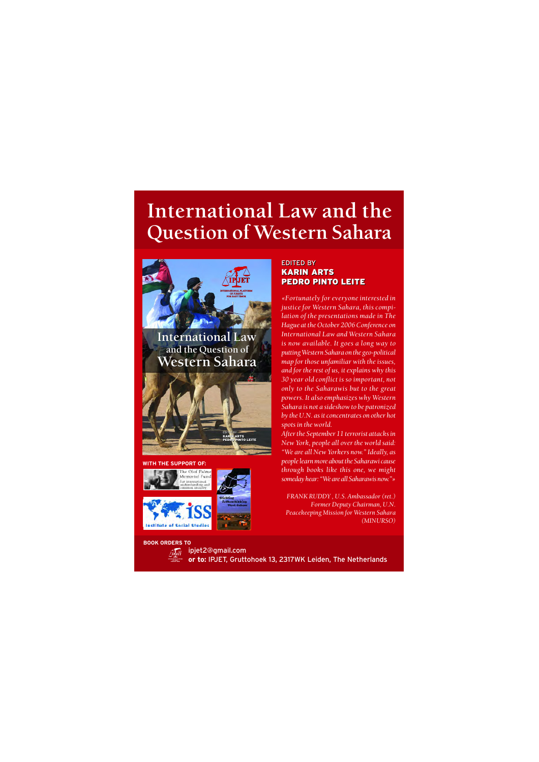## International Law and the Question of Western Sahara



EDITED BY KARIN ARTS PEDRO PINTO LEITE EDITED BY KARIN ARTS **EDRO PINTO LEITE** 



BOOK ORDERS TO

EDITED BY EDITED BY KARIN ARTS KARIN ARTS PEDRO PINTO LEITE

«Fortunately for everyone interested in justice for Western Sahara, this compilation of the presentations made in The Hague at the October 2006 Conference on International Law and Western Sahara is now available. It goes a long way to putting Western Sahara on the geo-political  $\overline{m}$  map for those unfamiliar with the issues, and for the rest of us, it explains why this 30 year old conflict is so important, not only to the Saharawis but to the great powers. It also emphasizes why Western Sahara is not a sideshow to be patronized by the U.N. as it concentrates on other hot spots in the world.

After the September 11 terrorist attacks in New York, people all over the world said: "We are all New Yorkers now." Ideally, as people learn more about the Saharawi cause through books like this one, we might someday hear: "We are all Saharawis now." »

FRANK RUDDY, U.S. Ambassador (ret.) Former Deputy Chairman, U.N. Peacekeeping Mission for Western Sahara (MINURSO)

And ipjet2@gmail.com or to: IPJET, Gruttohoek 13, 2317WK Leiden, The Netherlands